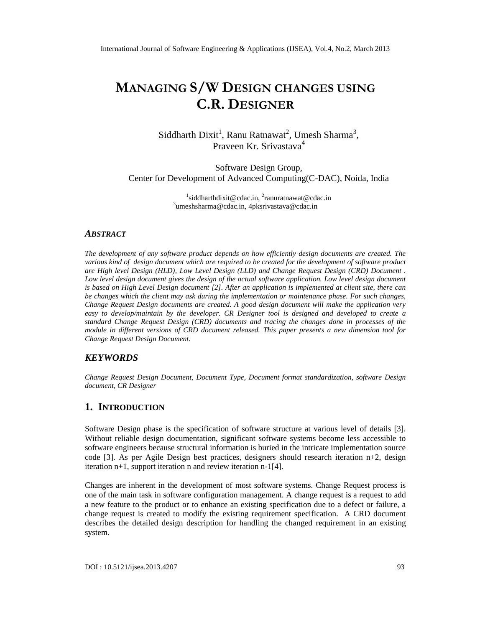# MANAGINSS/ WDESIGN CHANGES USING C. ROESIGNER

Siddharth Dixit, Ranu Ratnawat Umesh Sharma Praveen Kr. Srivasta $4a$ 

Software Design Group, Center for Development of Advanced Computing(C), Noida, India

> $^{\mathsf{1}}$ [siddharthdixit@cdac.i](mailto:1siddharthdixit@cdac.in)n $^{\mathsf{1}}$ [ranuratnawat@cdac.](mailto:2ranuratnawat@cdac.in)in  $^3$ [umeshsharma@cdac](mailto:3umeshsharma@cdac.in).i⁄ipksrivastava@cdac.in

#### ABSTRACT

The development any software product depends on how efficiently design documents are created. The various kind of design document which are required to be created for the development of software product are High level Design (HLD), Low Level Design (LLD) and ChangeuRst Design (CRD) Document . Low level design document gives the design of the actual software application. Low level design document is based on High Level Design document [2]. After an application is implemented at client site, there can be changes whicthe client may ask during the implementation or maintenance phase. For such changes, Change Request Design documents are created. A good design document will make the application very easy to develop/maintain by the developer. CR Designer tool is desagnee developed to create a standard Change Request Design (CRD) documents and tracing the changes done in processes of the module in different versions of CRD document released. This paper presents a new dimension tool for Change Request Design Document.

## **KEYWORDS**

Change Request Design Document, Document Type, Document format standardization, software Design document, CR Designer

#### 1. I NTRODUCTION

Software Design phase is the specification of software structure at various level of details [3]. Without reliable design documentation, significant software systems become less accessible to software engineers because structural information is buried in the intricate implementation source code [3]. As per Agile Design best practices, designers should researd ibnitere 2, design iteration  $n+1$ , support iteration n and review iteration  $\mathbf{\hat{A}}$ .

Changes are inherent in the development of most software systems. Change Request process is one of the main task in software configuration management. A change requestiviest to add a new feature to the product or to enhance an existing specification due to a defect or failure, a change request is created to modify the existing requirement specification. A CRD document describes the detailed design description for handle changed requirement in an existing system.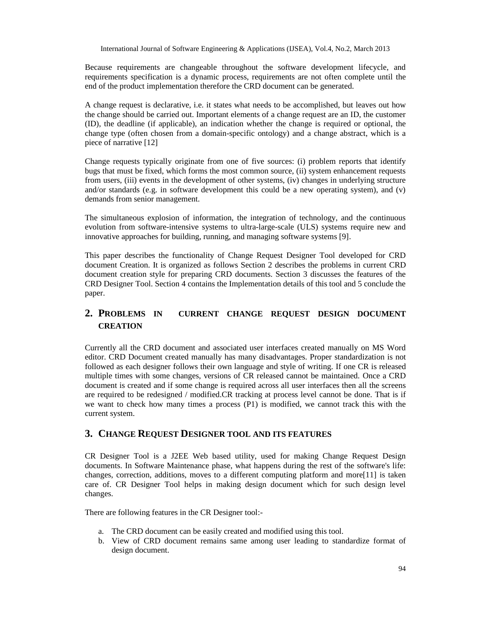Because requirements are changeable throughout the software development lifecycle, and requirements specification is a dynamic process, requirements are not often complete until the end of the product implementation therefore the CRD document can be generated.

A change request is declarative, i.e. it states what needs to be accomplished, but leaves out how the change should be carried out. Important elements of a change request are an ID, the customer (ID), the deadline (if applicable), an indication whether the change is required or optional, the change type (often chosen from a domain-specific ontology) and a change abstract, which is a piece of narrative [12]

Change requests typically originate from one of five sources: (i) problem reports that identify bugs that must be fixed, which forms the most common source, (ii) system enhancement requests from users, (iii) events in the development of other systems, (iv) changes in underlying structure and/or standards (e.g. in software development this could be a new operating system), and  $(v)$ demands from senior management.

The simultaneous explosion of information, the integration of technology, and the continuous evolution from software-intensive systems to ultra-large-scale (ULS) systems require new and innovative approaches for building, running, and managing software systems [9].

This paper describes the functionality of Change Request Designer Tool developed for CRD document Creation. It is organized as follows Section 2 describes the problems in current CRD document creation style for preparing CRD documents. Section 3 discusses the features of the CRD Designer Tool. Section 4 contains the Implementation details of this tool and 5 conclude the paper.

# **2. PROBLEMS IN CURRENT CHANGE REQUEST DESIGN DOCUMENT CREATION**

Currently all the CRD document and associated user interfaces created manually on MS Word editor. CRD Document created manually has many disadvantages. Proper standardization is not followed as each designer follows their own language and style of writing. If one CR is released multiple times with some changes, versions of CR released cannot be maintained. Once a CRD document is created and if some change is required across all user interfaces then all the screens are required to be redesigned / modified.CR tracking at process level cannot be done. That is if we want to check how many times a process (P1) is modified, we cannot track this with the current system.

## **3. CHANGE REQUEST DESIGNER TOOL AND ITS FEATURES**

CR Designer Tool is a J2EE Web based utility, used for making Change Request Design documents. In Software Maintenance phase, what happens during the rest of the software's life: changes, correction, additions, moves to a different computing platform and more[11] is taken care of. CR Designer Tool helps in making design document which for such design level changes.

There are following features in the CR Designer tool:-

- a. The CRD document can be easily created and modified using this tool.
- b. View of CRD document remains same among user leading to standardize format of design document.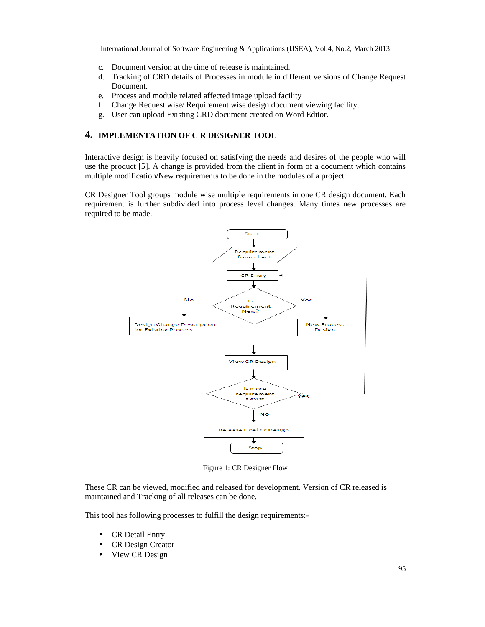- c. Document version at the time of release is maintained.
- d. Tracking of CRD details of Processes in module in different versions of Change Request Document.
- e. Process and module related affected image upload facility
- f. Change Request wise/ Requirement wise design document viewing facility.
- g. User can upload Existing CRD document created on Word Editor.

#### **4. IMPLEMENTATION OF C R DESIGNER TOOL**

Interactive design is heavily focused on satisfying the needs and desires of the people who will use the product [5]. A change is provided from the client in form of a document which contains multiple modification/New requirements to be done in the modules of a project.

CR Designer Tool groups module wise multiple requirements in one CR design document. Each requirement is further subdivided into process level changes. Many times new processes are required to be made.



Figure 1: CR Designer Flow

These CR can be viewed, modified and released for development. Version of CR released is maintained and Tracking of all releases can be done.

This tool has following processes to fulfill the design requirements:-

- CR Detail Entry
- CR Design Creator
- View CR Design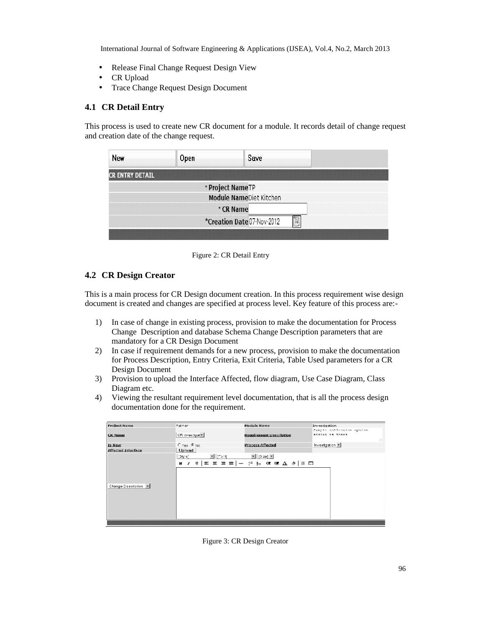- Release Final Change Request Design View
- CR Upload
- Trace Change Request Design Document

## **4.1 CR Detail Entry**

This process is used to create new CR document for a module. It records detail of change request and creation date of the change request.

| New                    | Open | Save                       |
|------------------------|------|----------------------------|
| <b>CR ENTRY DETAIL</b> |      |                            |
|                        |      | * Project Name TP          |
|                        |      | Module NameDiet Kitchen    |
|                        |      | * CR Name                  |
|                        |      | *Creation Date 07-Nov-2012 |

Figure 2: CR Detail Entry

## **4.2 CR Design Creator**

This is a main process for CR Design document creation. In this process requirement wise design document is created and changes are specified at process level. Key feature of this process are:-

- 1) In case of change in existing process, provision to make the documentation for Process Change Description and database Schema Change Description parameters that are mandatory for a CR Design Document
- 2) In case if requirement demands for a new process, provision to make the documentation for Process Description, Entry Criteria, Exit Criteria, Table Used parameters for a CR Design Document
- 3) Provision to upload the Interface Affected, flow diagram, Use Case Diagram, Class Diagram etc.
- 4) Viewing the resultant requirement level documentation, that is all the process design documentation done for the requirement.

| <b>Project Name</b>       | Paimer             | Module Name                                                                                   | Investigation                                       |
|---------------------------|--------------------|-----------------------------------------------------------------------------------------------|-----------------------------------------------------|
| <b>CK Name</b>            | CR Investigat      | <b>Requirement Description</b>                                                                | Sample anliantion option<br>should be there<br>vil. |
| Is New                    | Cives G No.        | <b>Process Affected</b>                                                                       | Investigation                                       |
| <b>Affected Interface</b> | Upload             |                                                                                               |                                                     |
| Change Description        | E [Fort]<br>[5tye] | $\mathbf{r}$ [3 ze] $\mathbf{r}$<br><b>B</b> <i>I</i> U   = = = =   -   : } } 00 00 A 2   图 Ⅲ |                                                     |

Figure 3: CR Design Creator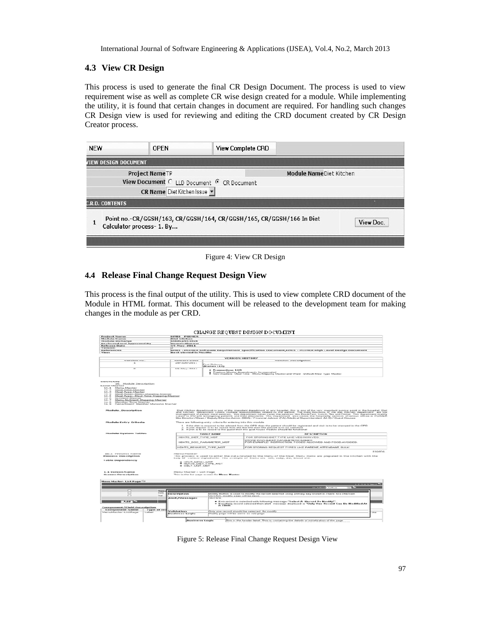## **4.3 View CR Design**

This process is used to generate the final CR Design Document. The process is used to view requirement wise as well as complete CR wise design created for a module. While implementing the utility, it is found that certain changes in document are required. For handling such changes CR Design view is used for reviewing and editing the CRD document created by CR Design Creator process.

| <b>NEW</b>             | <b>OPEN</b>                | <b>View Complete CRD</b>                                             |                         |
|------------------------|----------------------------|----------------------------------------------------------------------|-------------------------|
| VIEW DESIGN DOCUMENT   |                            |                                                                      |                         |
|                        | <b>Project NameTP</b>      |                                                                      | Module NameDiet Kitchen |
|                        |                            | View Document C LLD Document G CR Document                           |                         |
|                        | CR Name Diet Kitchen Issue |                                                                      |                         |
| <b>C.R.D. CONTENTS</b> |                            |                                                                      |                         |
|                        | Calculator process- 1. By  | Point no.-CR/GGSH/163, CR/GGSH/164, CR/GGSH/165, CR/GGSH/166 In Diet | View Doc.               |

Figure 4: View CR Design

#### **4.4 Release Final Change Request Design View**

This process is the final output of the utility. This is used to view complete CRD document of the Module in HTML format. This document will be released to the development team for making changes in the module as per CRD.

|                                                                                                                                                                                                                                                                                                                                                                                                 |                                       |                                                                  | CHANGE REQUEST DESIGN DOCUMENT                                                                                                                                                                                                                                                                                                                                                                                                                                         |
|-------------------------------------------------------------------------------------------------------------------------------------------------------------------------------------------------------------------------------------------------------------------------------------------------------------------------------------------------------------------------------------------------|---------------------------------------|------------------------------------------------------------------|------------------------------------------------------------------------------------------------------------------------------------------------------------------------------------------------------------------------------------------------------------------------------------------------------------------------------------------------------------------------------------------------------------------------------------------------------------------------|
| <b>Project Name</b>                                                                                                                                                                                                                                                                                                                                                                             | <b>BEMIS - POIMER</b>                 |                                                                  |                                                                                                                                                                                                                                                                                                                                                                                                                                                                        |
| Module Name                                                                                                                                                                                                                                                                                                                                                                                     | <b>Diet kitchen</b>                   |                                                                  |                                                                                                                                                                                                                                                                                                                                                                                                                                                                        |
| <b>Module Incharge</b>                                                                                                                                                                                                                                                                                                                                                                          | <b>Substitute over the district</b>   |                                                                  |                                                                                                                                                                                                                                                                                                                                                                                                                                                                        |
| Reviewed and Approved By<br><b>Refease Date</b>                                                                                                                                                                                                                                                                                                                                                 | <b>Mone sh Bhorono</b><br>19 May 2011 |                                                                  |                                                                                                                                                                                                                                                                                                                                                                                                                                                                        |
| Version                                                                                                                                                                                                                                                                                                                                                                                         | ь                                     |                                                                  |                                                                                                                                                                                                                                                                                                                                                                                                                                                                        |
| <b>References</b>                                                                                                                                                                                                                                                                                                                                                                               |                                       |                                                                  | sexus - POINTER Software Requirement Specification Document, sexus - POINTER High Level tresign Document                                                                                                                                                                                                                                                                                                                                                               |
| Views                                                                                                                                                                                                                                                                                                                                                                                           | <b>Best viewed in Mezille</b>         |                                                                  |                                                                                                                                                                                                                                                                                                                                                                                                                                                                        |
|                                                                                                                                                                                                                                                                                                                                                                                                 |                                       |                                                                  |                                                                                                                                                                                                                                                                                                                                                                                                                                                                        |
| wears igas noo.                                                                                                                                                                                                                                                                                                                                                                                 | Statement a Electro                   |                                                                  | VERSION HESTORY<br>varsion Decription                                                                                                                                                                                                                                                                                                                                                                                                                                  |
| Ξ                                                                                                                                                                                                                                                                                                                                                                                               | 2011 14:24 12:33 13                   |                                                                  |                                                                                                                                                                                                                                                                                                                                                                                                                                                                        |
|                                                                                                                                                                                                                                                                                                                                                                                                 |                                       | First Release<br><b>IMAGESES LEDS</b>                            |                                                                                                                                                                                                                                                                                                                                                                                                                                                                        |
| ≂                                                                                                                                                                                                                                                                                                                                                                                               | $19 - 54 + v - 20111$                 | * Transactions LLD                                               | · Previous Master Amendments bu organized<br>. Forw masters -Meal Time - Menu Mapping Master and Ward - Default Meal Type Master                                                                                                                                                                                                                                                                                                                                       |
| <b>CONTRACTOR</b><br>Module Description<br>30.<br><b>LOCAl Master</b><br><b>16-5</b> Menu Master<br>16.2<br>Meal Time Master<br>16.3 Meal Type Master<br>bleal Type: Menu Mapping Master<br>1.45.46.<br>Meal Type- Meal Time Mapping Master<br>2.4.5<br>14.6<br>Nutrient Master<br>16.7<br>Menu Nutrient Mapping Macter<br>1.6.8<br>Member Type Master<br>16.9 Canadmant Marchar Manning Master |                                       |                                                                  |                                                                                                                                                                                                                                                                                                                                                                                                                                                                        |
| <b>Module Description</b>                                                                                                                                                                                                                                                                                                                                                                       |                                       |                                                                  | Destrikten desarment is soe of the important department in any hossela, the in the very mondant sende mondant me<br>and Köchen department covers multiple responsibilities related to the patient. The main functions of the diet<br>and recomment of parties makings and the department states cares the services is a breakfast, turnch, the and Dimest This department many<br>caters to IPD and Emergency patients and their states fant. This Department also cov |
| Module Entry Oritoria                                                                                                                                                                                                                                                                                                                                                                           |                                       | There are following entry criteria for entering into this module |                                                                                                                                                                                                                                                                                                                                                                                                                                                                        |
|                                                                                                                                                                                                                                                                                                                                                                                                 |                                       |                                                                  | 1. If the diet is required to be advised from the OPD than the patient should be registered and visit is to be stamped in the OPD<br>2. If Client request is to be raised from the the IPD than the patient is to be admitted<br>2. If Chet is to be raised to the guest then the gust house module should be functional                                                                                                                                               |
| Monitobe System Tables                                                                                                                                                                                                                                                                                                                                                                          |                                       | <b>TARE E MANE</b>                                               | <b>DESCRIPTION</b>                                                                                                                                                                                                                                                                                                                                                                                                                                                     |
|                                                                                                                                                                                                                                                                                                                                                                                                 | HOLCTE DIET TYPE MET                  |                                                                  | FOR STORING DIET TYPE LIKE VEG NON-VEG.                                                                                                                                                                                                                                                                                                                                                                                                                                |
|                                                                                                                                                                                                                                                                                                                                                                                                 |                                       | HIDSITS DOG_PARAMETER_MST                                        | ETORE DOCUMENT PARAMETERS NAMES.<br>FOR EXAMPLE- NSTRUCTION, FOODS ALLOWED AND FOOD AVOIDED.                                                                                                                                                                                                                                                                                                                                                                           |
|                                                                                                                                                                                                                                                                                                                                                                                                 |                                       | HOLTS REQUEST TYPE MST                                           | FOR STORING REGUEST TYPES UNE PARENT ATTENDANT BULK                                                                                                                                                                                                                                                                                                                                                                                                                    |
|                                                                                                                                                                                                                                                                                                                                                                                                 |                                       |                                                                  | amon-                                                                                                                                                                                                                                                                                                                                                                                                                                                                  |
| <b>15.1 Process Name</b><br>Process Doccription                                                                                                                                                                                                                                                                                                                                                 | <b>MODELE MODEL OF</b>                |                                                                  | This process is used to enter the cista related to the Menu of the Meal, Menu (tems are prepared in the kitchen with the                                                                                                                                                                                                                                                                                                                                               |
|                                                                                                                                                                                                                                                                                                                                                                                                 |                                       |                                                                  | help of various ingredients. The example of Menu are roti, saby, dal, bread etc.                                                                                                                                                                                                                                                                                                                                                                                       |
| 1 able Dependency                                                                                                                                                                                                                                                                                                                                                                               |                                       |                                                                  |                                                                                                                                                                                                                                                                                                                                                                                                                                                                        |
| · HOLT MERLI MET<br>- HOKTE DIET TYPE MET                                                                                                                                                                                                                                                                                                                                                       |                                       |                                                                  |                                                                                                                                                                                                                                                                                                                                                                                                                                                                        |
|                                                                                                                                                                                                                                                                                                                                                                                                 |                                       |                                                                  |                                                                                                                                                                                                                                                                                                                                                                                                                                                                        |
| <b>1.1 Ecroon Name</b><br><b>Burners Description</b>                                                                                                                                                                                                                                                                                                                                            | Menu Macter - List Hage               | This is the list page screen for Means Master                    |                                                                                                                                                                                                                                                                                                                                                                                                                                                                        |
|                                                                                                                                                                                                                                                                                                                                                                                                 |                                       |                                                                  |                                                                                                                                                                                                                                                                                                                                                                                                                                                                        |
| Measu Macher: List Rage <sup>-13</sup>                                                                                                                                                                                                                                                                                                                                                          |                                       |                                                                  |                                                                                                                                                                                                                                                                                                                                                                                                                                                                        |
|                                                                                                                                                                                                                                                                                                                                                                                                 |                                       |                                                                  | $1.2.3 + 3$ Feb $\geq 7$                                                                                                                                                                                                                                                                                                                                                                                                                                               |
|                                                                                                                                                                                                                                                                                                                                                                                                 |                                       |                                                                  | <b>ES AGENE</b> Active<br><b>See List</b>                                                                                                                                                                                                                                                                                                                                                                                                                              |
| $\sqrt{2}$                                                                                                                                                                                                                                                                                                                                                                                      | 54.00                                 |                                                                  |                                                                                                                                                                                                                                                                                                                                                                                                                                                                        |
| $\Box$                                                                                                                                                                                                                                                                                                                                                                                          | <b>ROCHES</b>                         |                                                                  |                                                                                                                                                                                                                                                                                                                                                                                                                                                                        |
| $E-1$                                                                                                                                                                                                                                                                                                                                                                                           | <b>END SCYRIN HOME</b><br>Dowl        | On Chok, medity page will be epen.                               | Modify Button is used to modify the record selected using primary key stored in check hox checked.                                                                                                                                                                                                                                                                                                                                                                     |
|                                                                                                                                                                                                                                                                                                                                                                                                 | <b>Alort/Mossages</b>                 | <b>EMA CINCK</b>                                                 |                                                                                                                                                                                                                                                                                                                                                                                                                                                                        |
|                                                                                                                                                                                                                                                                                                                                                                                                 |                                       |                                                                  |                                                                                                                                                                                                                                                                                                                                                                                                                                                                        |
| Add                                                                                                                                                                                                                                                                                                                                                                                             |                                       |                                                                  | ● If no record is selected with following message "Select A. Record To Modify!".<br>● If multiple record selected then alert message displayed is "Only One Record Can De Modified At                                                                                                                                                                                                                                                                                  |
|                                                                                                                                                                                                                                                                                                                                                                                                 |                                       | A Time!                                                          |                                                                                                                                                                                                                                                                                                                                                                                                                                                                        |
| <b>Component /Field Ouseription</b>                                                                                                                                                                                                                                                                                                                                                             |                                       |                                                                  |                                                                                                                                                                                                                                                                                                                                                                                                                                                                        |
| <b>Component NAme</b><br>Type of co                                                                                                                                                                                                                                                                                                                                                             | Volidation                            |                                                                  | Only one record should be selected for modify                                                                                                                                                                                                                                                                                                                                                                                                                          |
| Merichtester-ListPage<br><b>Lotted</b>                                                                                                                                                                                                                                                                                                                                                          | <b>Business Logic</b>                 | Modify page will be same as add page                             | $-20 - 10$                                                                                                                                                                                                                                                                                                                                                                                                                                                             |
|                                                                                                                                                                                                                                                                                                                                                                                                 |                                       |                                                                  |                                                                                                                                                                                                                                                                                                                                                                                                                                                                        |
|                                                                                                                                                                                                                                                                                                                                                                                                 | <b>Business Logic</b>                 |                                                                  | This is the header label . This is containing the details of initialization of the page                                                                                                                                                                                                                                                                                                                                                                                |

Figure 5: Release Final Change Request Design View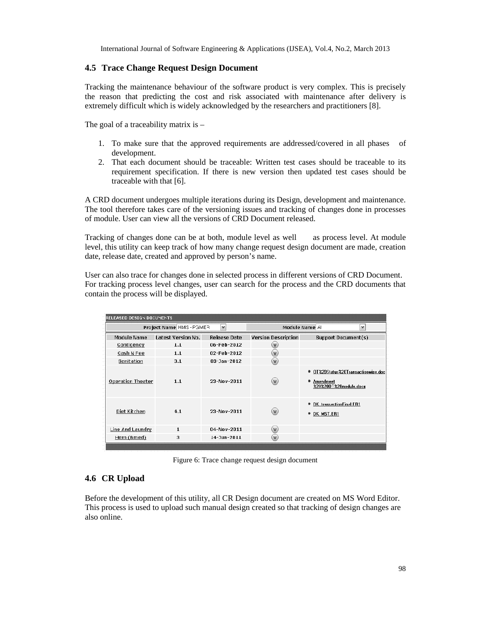#### **4.5 Trace Change Request Design Document**

Tracking the maintenance behaviour of the software product is very complex. This is precisely the reason that predicting the cost and risk associated with maintenance after delivery is extremely difficult which is widely acknowledged by the researchers and practitioners [8].

The goal of a traceability matrix is –

- 1. To make sure that the approved requirements are addressed/covered in all phases of development.
- 2. That each document should be traceable: Written test cases should be traceable to its requirement specification. If there is new version then updated test cases should be traceable with that [6].

A CRD document undergoes multiple iterations during its Design, development and maintenance. The tool therefore takes care of the versioning issues and tracking of changes done in processes of module. User can view all the versions of CRD Document released.

Tracking of changes done can be at both, module level as well as process level. At module level, this utility can keep track of how many change request design document are made, creation date, release date, created and approved by person's name.

User can also trace for changes done in selected process in different versions of CRD Document. For tracking process level changes, user can search for the process and the CRD documents that contain the process will be displayed.

| RELEASED DESIGN DOCUMENTS |                          |                  |                            |                                                                               |
|---------------------------|--------------------------|------------------|----------------------------|-------------------------------------------------------------------------------|
|                           | Project Name HMS - PGMER | Ÿ                |                            | Module Name Al<br>v                                                           |
| <b>Module Name</b>        | Latest Version No.       | Release Date     | <b>Version Description</b> | Support Document(s)                                                           |
| <b>Contigency</b>         | 1.1                      | 06-Feb-2012      | $\mathbf{v}$               |                                                                               |
| Cash N Fee                | 1.1                      | 02-Feb-2012      | $(\mathsf{v})$             |                                                                               |
| Sanitation                | 3.1                      | 03-Jan-2012      | (V)                        |                                                                               |
| <b>Operation Theater</b>  | 1.1                      | 23-Nov-2011      | $(\mathsf{v})$             | OT%2DStatus%20Transactionwise.doc<br>Amendment<br>٠<br>%20%200T%20module.docx |
| Diet Kitchen              | 4.1                      | 23-Nov-2011      | $(\mathsf{v})$             | DK transactionFinal FR1<br>• DK MST.ER1                                       |
| Line And Laundry          | $\mathbf{1}$             | 04-Nov-2011      | (v)                        |                                                                               |
| Hem (Bmed)                | з                        | $14 - 3$ un-2011 | $(\mathsf{v})$             |                                                                               |
|                           |                          |                  |                            |                                                                               |

Figure 6: Trace change request design document

## **4.6 CR Upload**

Before the development of this utility, all CR Design document are created on MS Word Editor. This process is used to upload such manual design created so that tracking of design changes are also online.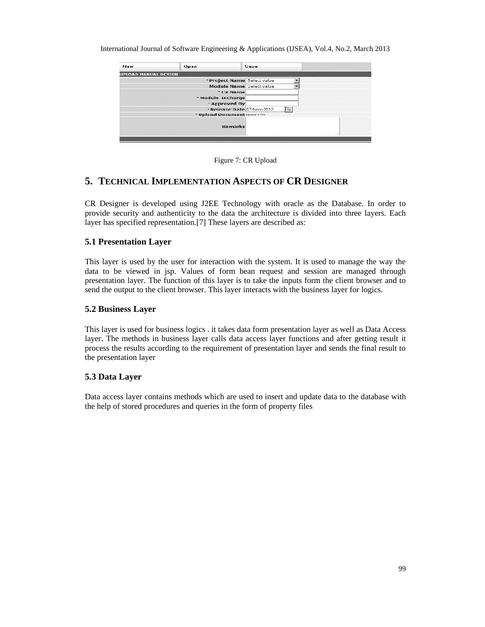| <b>New</b>                  | <b>Upen</b>                                | Save                                          |
|-----------------------------|--------------------------------------------|-----------------------------------------------|
| <b>UPLOAD MANUAL DESIGN</b> |                                            |                                               |
|                             |                                            | * Project Name Select value                   |
|                             |                                            | Module Name Select value                      |
|                             | * CK Name                                  |                                               |
|                             | * Module Incharge                          |                                               |
|                             | <b>Approved By</b>                         |                                               |
|                             |                                            | $\overline{ii}$<br>* Release Date 07-Nov-2012 |
|                             | <sup>*</sup> Upload Document Upload a frie |                                               |
|                             | <b>Remarks</b>                             | 98                                            |

Figure 7: CR Upload

# **5. TECHNICAL IMPLEMENTATION ASPECTS OF CR DESIGNER**

CR Designer is developed using J2EE Technology with oracle as the Database. In order to provide security and authenticity to the data the architecture is divided into three layers. Each layer has specified representation.[7] These layers are described as:

#### **5.1 Presentation Layer**

This layer is used by the user for interaction with the system. It is used to manage the way the data to be viewed in jsp. Values of form bean request and session are managed through presentation layer. The function of this layer is to take the inputs form the client browser and to send the output to the client browser. This layer interacts with the business layer for logics.

#### **5.2 Business Layer**

This layer is used for business logics . it takes data form presentation layer as well as Data Access layer. The methods in business layer calls data access layer functions and after getting result it process the results according to the requirement of presentation layer and sends the final result to the presentation layer

#### **5.3 Data Layer**

Data access layer contains methods which are used to insert and update data to the database with the help of stored procedures and queries in the form of property files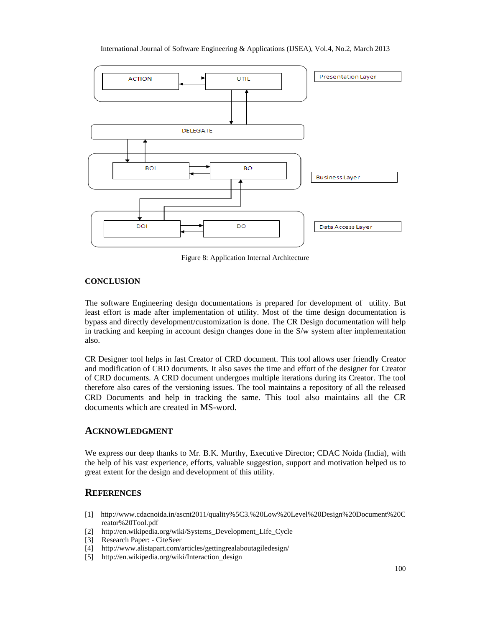Figure 8: Application Internal Architecture

#### **CONCLUSION**

The software Engineering design documetions is prepared for development of utility. But least effort is made after implementation of utility. Most of the time design documentation is bypass and directly development stomization is done. The CR Design documentation will help in tracking andkeeping in account design changes done in the S/w system after implementation also.

CR Designer tool helps in fast Creator of CRD document. This tool allows user friendly Creator and modification of CRD documents. It also saves the time and effort destigner for Creator of CRD documents. A CRD document undergoes multiple iterations during its Creator. The tool therefore also cares of the versioning issues. The tool maintains a repository of all the released  $CRD$  Documents and help in tracking the same bis tool also maintains all the  $CR$ documents which are created in Mond.

## ACKNOWLEDGMENT

We express our deep thanks to Mr. B.K. Murthy, Executive Director; CDAC Noida (India), with the help of his vast experience, efforts, valuable suggestion, sulpaped motivation helped us to great extent for the design and development of this utility.

# **REFERENCES**

- [1] [http://www.cdacnoida.in/ascnt2011/quality%5C3.%20Low%20Level%20Design%20Documen](http://www.cdacnoida.in/ascnt2011/quality%5C3.%20Low%20Level%20Design%20Document%20C)t%20C reator%20Tool.pdf
- [2] http://en.wikipedia.org/wiki/Systems\_Delopment\_Life\_Cycle
- [3] Research PaperCiteSeer
- [4] [http://www.alistapart.com/articles/gettingrealaboutagilede](http://www.alistapart.com/articles/gettingrealaboutagiledesign/)sign/
- [5] http://en.wikipedia.org/wiki/Interaction\_design